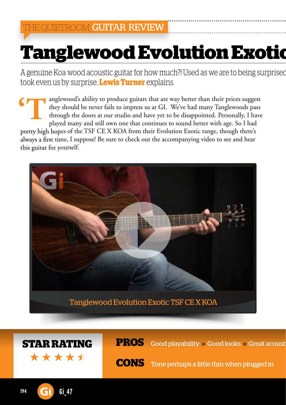# **Tanglewood Evolution Exotic**

A genuine Koa wood acoustic guitar for how much?! Used as we are to being surprised took even us by surprise. **Lewis Turner** explains.

anglewood's ability to produce guitars that are way better than their prices suggest they should be never fails to impress us at GI. We've had many Tanglewoods pass through the doors at our studio and have yet to be disappointed. Personally, I have played many and still own one that continues to sound better with age. So I had pretty high hopes of the TSF CE X KOA from their Evolution Exotic range, though there's always a first time, I suppose! Be sure to check out the accompanying video to see and hear this guitar for yourself. **'T**





**STAR RATING PROS** Good playability » Good looks » Great acoust

**CONS** Tone perhaps a little thin when plugged in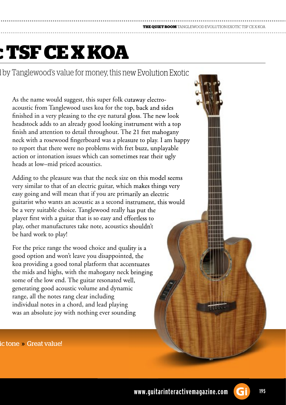### **THE QUIET ROOM** TANGLEWOOD EVOLUTION EXOTIC TSF CE X KOA

## **: TSF CE X KOA**

I by Tanglewood's value for money, this new Evolution Exotic

As the name would suggest, this super folk cutaway electroacoustic from Tanglewood uses koa for the top, back and sides finished in a very pleasing to the eye natural gloss. The new look headstock adds to an already good looking instrument with a top finish and attention to detail throughout. The 21 fret mahogany neck with a rosewood fingerboard was a pleasure to play. I am happy to report that there were no problems with fret buzz, unplayable action or intonation issues which can sometimes rear their ugly heads at low–mid priced acoustics.

Adding to the pleasure was that the neck size on this model seems very similar to that of an electric guitar, which makes things very easy going and will mean that if you are primarily an electric guitarist who wants an acoustic as a second instrument, this would be a very suitable choice. Tanglewood really has put the player first with a guitar that is so easy and effortless to play, other manufactures take note, acoustics shouldn't be hard work to play!

For the price range the wood choice and quality is a good option and won't leave you disappointed, the koa providing a good tonal platform that accentuates the mids and highs, with the mahogany neck bringing some of the low end. The guitar resonated well, generating good acoustic volume and dynamic range, all the notes rang clear including individual notes in a chord, and lead playing was an absolute joy with nothing ever sounding